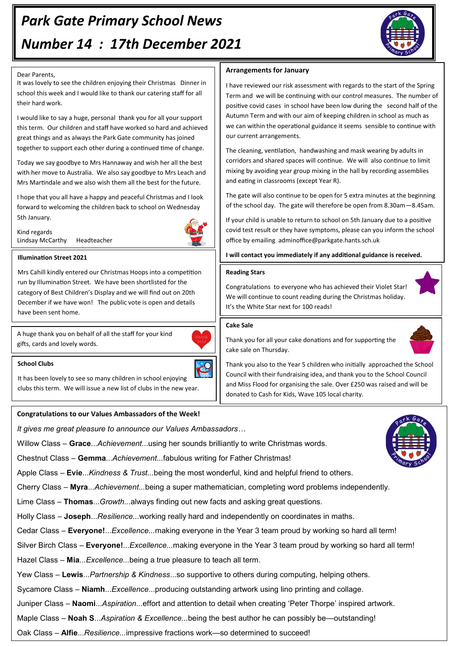# *Park Gate Primary School News Number 14 : 17th December 2021*



### Dear Parents,

It was lovely to see the children enjoying their Christmas Dinner in school this week and I would like to thank our catering staff for all their hard work.

I would like to say a huge, personal thank you for all your support this term. Our children and staff have worked so hard and achieved great things and as always the Park Gate community has joined together to support each other during a continued time of change.

Today we say goodbye to Mrs Hannaway and wish her all the best with her move to Australia. We also say goodbye to Mrs Leach and Mrs Martindale and we also wish them all the best for the future.

I hope that you all have a happy and peaceful Christmas and I look forward to welcoming the children back to school on Wednesday 5th January.

Kind regards Lindsay McCarthy Headteacher



#### **Illumination Street 2021**

Mrs Cahill kindly entered our Christmas Hoops into a competition run by Illumination Street. We have been shortlisted for the category of Best Children's Display and we will find out on 20th December if we have won! The public vote is open and details have been sent home.

A huge thank you on behalf of all the staff for your kind gifts, cards and lovely words.



#### **School Clubs**

It has been lovely to see so many children in school enjoying clubs this term. We will issue a new list of clubs in the new year.

# **Congratulations to our Values Ambassadors of the Week!**

*It gives me great pleasure to announce our Values Ambassadors…*

Willow Class – **Grace**...*Achievement*...using her sounds brilliantly to write Christmas words.

Chestnut Class – **Gemma**...*Achievement...*fabulous writing for Father Christmas!

Apple Class – **Evie**...*Kindness & Trust...*being the most wonderful, kind and helpful friend to others.

Cherry Class – **Myra**...*Achievement...*being a super mathematician, completing word problems independently.

Lime Class – **Thomas**...*Growth...*always finding out new facts and asking great questions.

Holly Class – **Joseph**...*Resilience...*working really hard and independently on coordinates in maths.

Cedar Class – **Everyone!**...*Excellence...*making everyone in the Year 3 team proud by working so hard all term!

Silver Birch Class – **Everyone!**...*Excellence...*making everyone in the Year 3 team proud by working so hard all term!

Hazel Class *–* **Mia***...Excellence...*being a true pleasure to teach all term.

Yew Class – **Lewis**...*Partnership & Kindness*...so supportive to others during computing, helping others.

Sycamore Class – **Niamh**...*Excellence*...producing outstanding artwork using lino printing and collage.

Juniper Class – **Naomi**...*Aspiration...*effort and attention to detail when creating 'Peter Thorpe' inspired artwork.

Maple Class – **Noah S**...*Aspiration & Excellence...*being the best author he can possibly be—outstanding!

Oak Class – **Alfie**...*Resilience...*impressive fractions work—so determined to succeed!

# **Arrangements for January**

I have reviewed our risk assessment with regards to the start of the Spring Term and we will be continuing with our control measures. The number of positive covid cases in school have been low during the second half of the Autumn Term and with our aim of keeping children in school as much as we can within the operational guidance it seems sensible to continue with our current arrangements.

The cleaning, ventilation, handwashing and mask wearing by adults in corridors and shared spaces will continue. We will also continue to limit mixing by avoiding year group mixing in the hall by recording assemblies and eating in classrooms (except Year R).

The gate will also continue to be open for 5 extra minutes at the beginning of the school day. The gate will therefore be open from 8.30am—8.45am.

If your child is unable to return to school on 5th January due to a positive covid test result or they have symptoms, please can you inform the school office by emailing adminoffice@parkgate.hants.sch.uk

**I will contact you immediately if any additional guidance is received.**

### **Reading Stars**

Congratulations to everyone who has achieved their Violet Star! We will continue to count reading during the Christmas holiday. It's the White Star next for 100 reads!

#### **Cake Sale**



Thank you for all your cake donations and for supporting the cake sale on Thursday.

Thank you also to the Year 5 children who initially approached the School Council with their fundraising idea, and thank you to the School Council and Miss Flood for organising the sale. Over £250 was raised and will be donated to Cash for Kids, Wave 105 local charity.